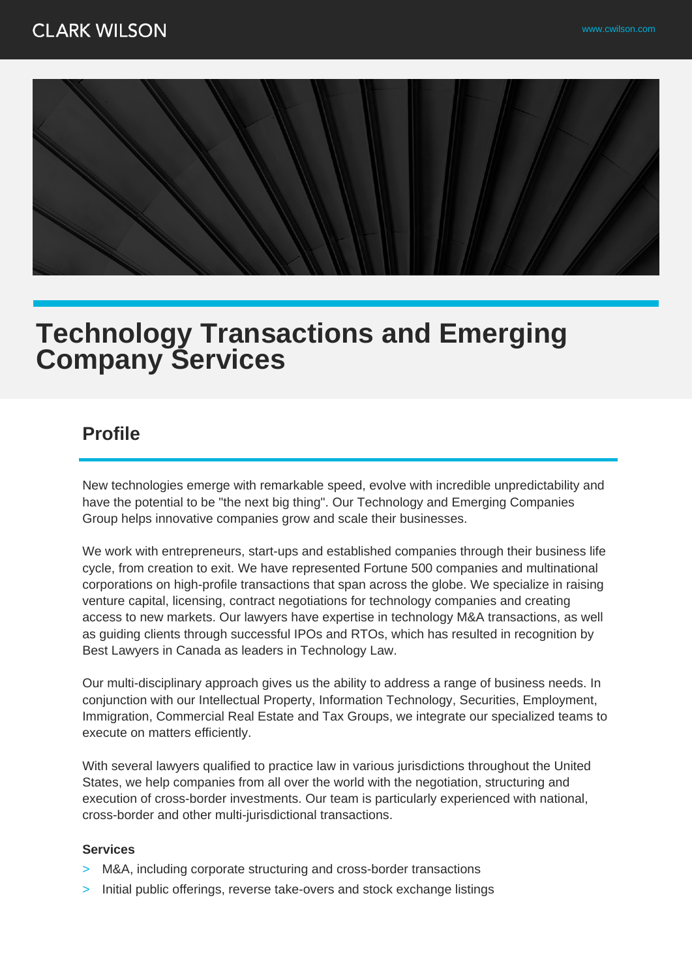

## **Technology Transactions and Emerging Company Services**

## **Profile**

New technologies emerge with remarkable speed, evolve with incredible unpredictability and have the potential to be "the next big thing". Our Technology and Emerging Companies Group helps innovative companies grow and scale their businesses.

We work with entrepreneurs, start-ups and established companies through their business life cycle, from creation to exit. We have represented Fortune 500 companies and multinational corporations on high-profile transactions that span across the globe. We specialize in raising venture capital, licensing, contract negotiations for technology companies and creating access to new markets. Our lawyers have expertise in technology M&A transactions, as well as guiding clients through successful IPOs and RTOs, which has resulted in recognition by Best Lawyers in Canada as leaders in Technology Law.

Our multi-disciplinary approach gives us the ability to address a range of business needs. In conjunction with our Intellectual Property, Information Technology, Securities, Employment, Immigration, Commercial Real Estate and Tax Groups, we integrate our specialized teams to execute on matters efficiently.

With several lawyers qualified to practice law in various jurisdictions throughout the United States, we help companies from all over the world with the negotiation, structuring and execution of cross-border investments. Our team is particularly experienced with national, cross-border and other multi-jurisdictional transactions.

## **Services**

- > M&A, including corporate structuring and cross-border transactions
- Initial public offerings, reverse take-overs and stock exchange listings